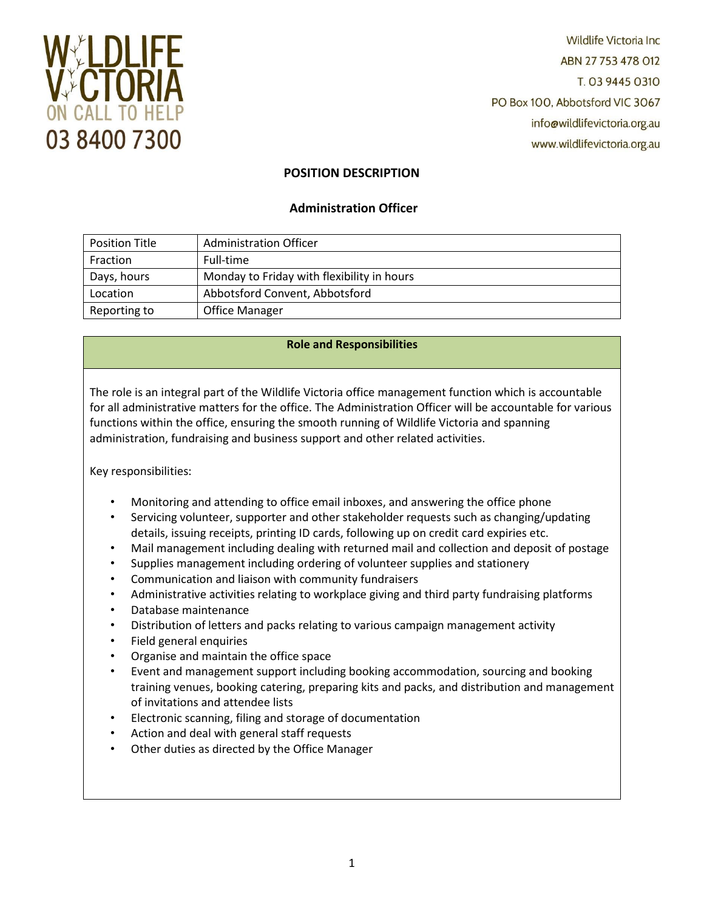

**Wildlife Victoria Inc.** ABN 27753478012 T. 03 9445 0310 PO Box 100, Abbotsford VIC 3067 info@wildlifevictoria.org.au www.wildlifevictoria.org.au

# **POSITION DESCRIPTION**

# **Administration Officer**

| <b>Position Title</b> | <b>Administration Officer</b>              |
|-----------------------|--------------------------------------------|
| Fraction              | Full-time                                  |
| Days, hours           | Monday to Friday with flexibility in hours |
| Location              | Abbotsford Convent, Abbotsford             |
| Reporting to          | <b>Office Manager</b>                      |

## **Role and Responsibilities**

The role is an integral part of the Wildlife Victoria office management function which is accountable for all administrative matters for the office. The Administration Officer will be accountable for various functions within the office, ensuring the smooth running of Wildlife Victoria and spanning administration, fundraising and business support and other related activities.

Key responsibilities:

- Monitoring and attending to office email inboxes, and answering the office phone
- Servicing volunteer, supporter and other stakeholder requests such as changing/updating details, issuing receipts, printing ID cards, following up on credit card expiries etc.
- Mail management including dealing with returned mail and collection and deposit of postage
- Supplies management including ordering of volunteer supplies and stationery
- Communication and liaison with community fundraisers
- Administrative activities relating to workplace giving and third party fundraising platforms
- Database maintenance
- Distribution of letters and packs relating to various campaign management activity
- Field general enquiries
- Organise and maintain the office space
- Event and management support including booking accommodation, sourcing and booking training venues, booking catering, preparing kits and packs, and distribution and management of invitations and attendee lists
- Electronic scanning, filing and storage of documentation
- Action and deal with general staff requests
- Other duties as directed by the Office Manager